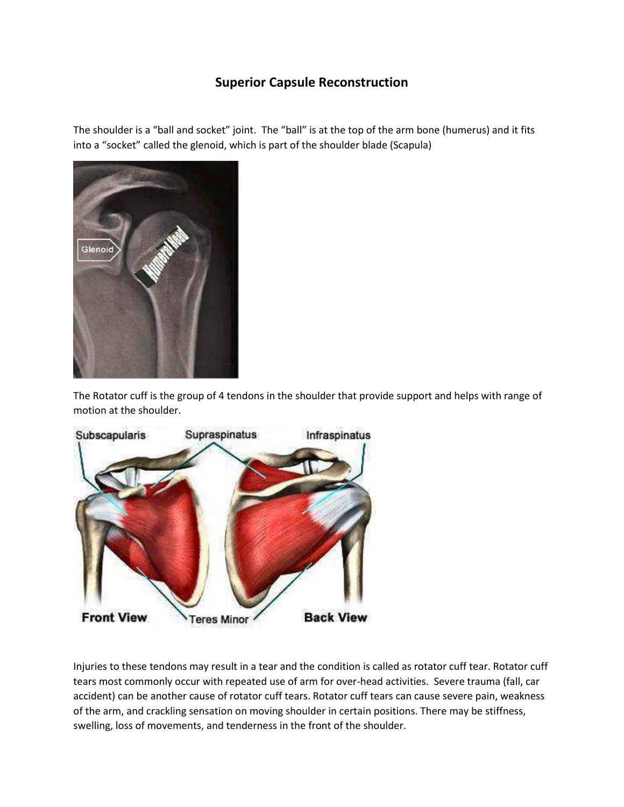## **Superior Capsule Reconstruction**

The shoulder is a "ball and socket" joint. The "ball" is at the top of the arm bone (humerus) and it fits into a "socket" called the glenoid, which is part of the shoulder blade (Scapula)



The Rotator cuff is the group of 4 tendons in the shoulder that provide support and helps with range of motion at the shoulder.



Injuries to these tendons may result in a tear and the condition is called as rotator cuff tear. Rotator cuff tears most commonly occur with repeated use of arm for over-head activities. Severe trauma (fall, car accident) can be another cause of rotator cuff tears. Rotator cuff tears can cause severe pain, weakness of the arm, and crackling sensation on moving shoulder in certain positions. There may be stiffness, swelling, loss of movements, and tenderness in the front of the shoulder.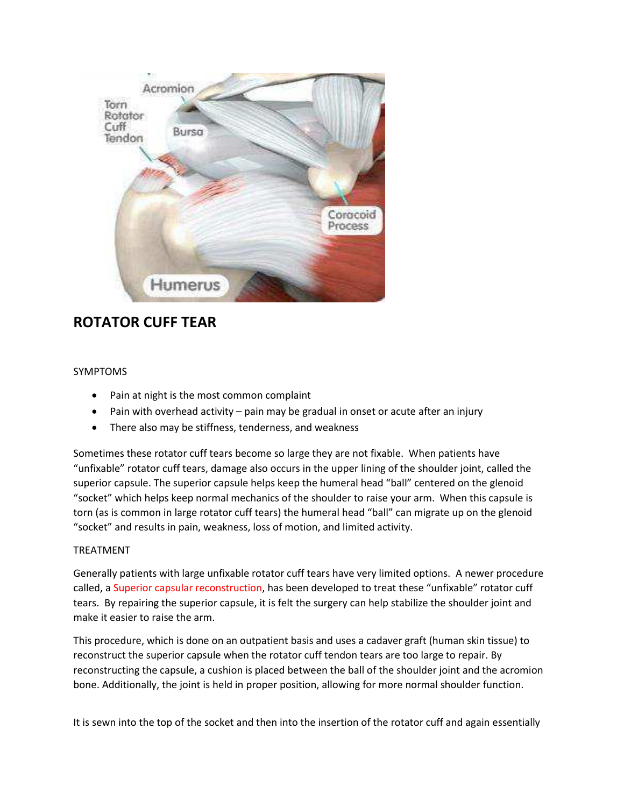![](_page_1_Picture_0.jpeg)

# **ROTATOR CUFF TEAR**

#### **SYMPTOMS**

- Pain at night is the most common complaint  $\bullet$
- Pain with overhead activity pain may be gradual in onset or acute after an injury
- There also may be stiffness, tenderness, and weakness

Sometimes these rotator cuff tears become so large they are not fixable. When patients have "unfixable" rotator cuff tears, damage also occurs in the upper lining of the shoulder joint, called the superior capsule. The superior capsule helps keep the humeral head "ball" centered on the glenoid "socket" which helps keep normal mechanics of the shoulder to raise your arm. When this capsule is torn (as is common in large rotator cuff tears) the humeral head "ball" can migrate up on the glenoid "socket" and results in pain, weakness, loss of motion, and limited activity.

#### **TREATMENT**

Generally patients with large unfixable rotator cuff tears have very limited options. A newer procedure called, a Superior capsular reconstruction, has been developed to treat these "unfixable" rotator cuff tears. By repairing the superior capsule, it is felt the surgery can help stabilize the shoulder joint and make it easier to raise the arm.

This procedure, which is done on an outpatient basis and uses a cadaver graft (human skin tissue) to reconstruct the superior capsule when the rotator cuff tendon tears are too large to repair. By reconstructing the capsule, a cushion is placed between the ball of the shoulder joint and the acromion bone. Additionally, the joint is held in proper position, allowing for more normal shoulder function.

It is sewn into the top of the socket and then into the insertion of the rotator cuff and again essentially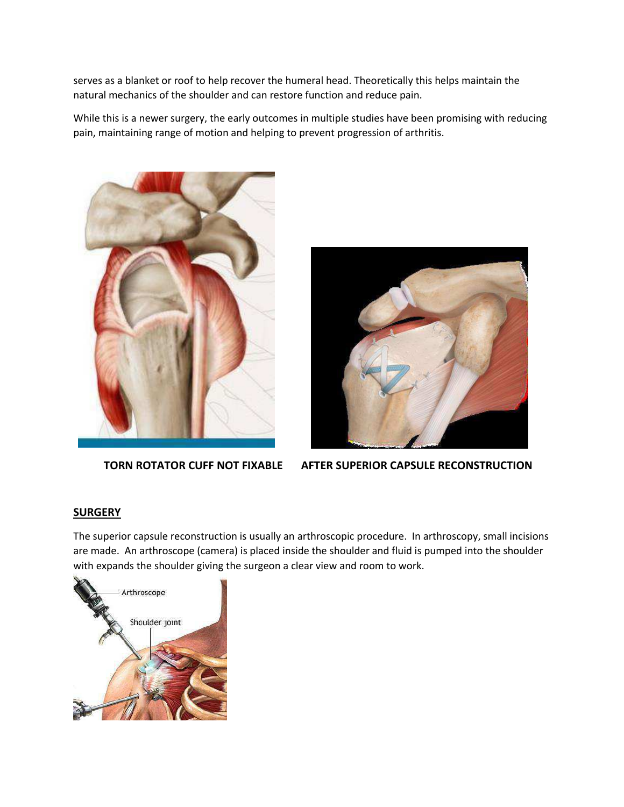serves as a blanket or roof to help recover the humeral head. Theoretically this helps maintain the natural mechanics of the shoulder and can restore function and reduce pain.

While this is a newer surgery, the early outcomes in multiple studies have been promising with reducing pain, maintaining range of motion and helping to prevent progression of arthritis.

![](_page_2_Picture_2.jpeg)

![](_page_2_Picture_4.jpeg)

**TORN ROTATOR CUFF NOT FIXABLE AFTER SUPERIOR CAPSULE RECONSTRUCTION**

## **SURGERY**

The superior capsule reconstruction is usually an arthroscopic procedure. In arthroscopy, small incisions are made. An arthroscope (camera) is placed inside the shoulder and fluid is pumped into the shoulder with expands the shoulder giving the surgeon a clear view and room to work.

![](_page_2_Picture_8.jpeg)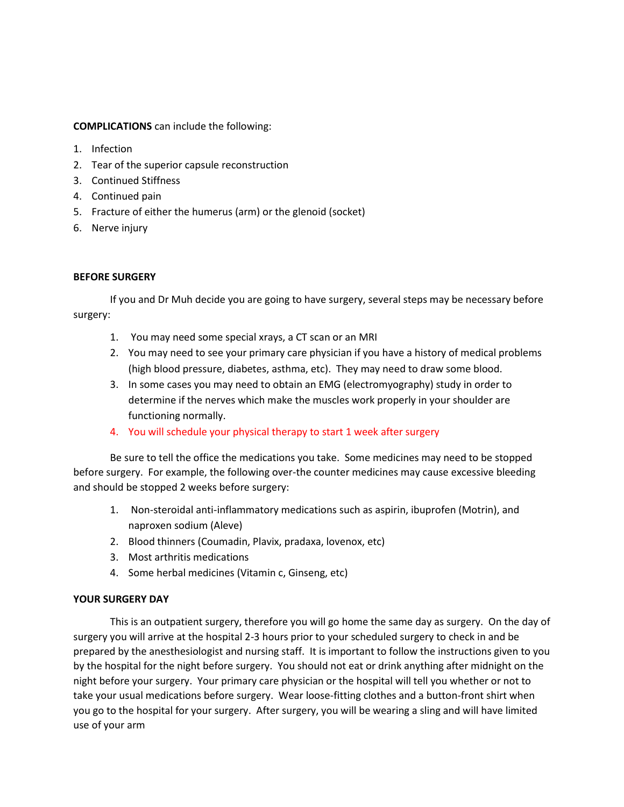#### **COMPLICATIONS** can include the following:

- 1. Infection
- 2. Tear of the superior capsule reconstruction
- 3. Continued Stiffness
- 4. Continued pain
- 5. Fracture of either the humerus (arm) or the glenoid (socket)
- 6. Nerve injury

## **BEFORE SURGERY**

If you and Dr Muh decide you are going to have surgery, several steps may be necessary before surgery:

- 1. You may need some special xrays, a CT scan or an MRI
- 2. You may need to see your primary care physician if you have a history of medical problems (high blood pressure, diabetes, asthma, etc). They may need to draw some blood.
- 3. In some cases you may need to obtain an EMG (electromyography) study in order to determine if the nerves which make the muscles work properly in your shoulder are functioning normally.
- 4. You will schedule your physical therapy to start 1 week after surgery

Be sure to tell the office the medications you take. Some medicines may need to be stopped before surgery. For example, the following over-the counter medicines may cause excessive bleeding and should be stopped 2 weeks before surgery:

- 1. Non-steroidal anti-inflammatory medications such as aspirin, ibuprofen (Motrin), and naproxen sodium (Aleve)
- 2. Blood thinners (Coumadin, Plavix, pradaxa, lovenox, etc)
- 3. Most arthritis medications
- 4. Some herbal medicines (Vitamin c, Ginseng, etc)

## **YOUR SURGERY DAY**

This is an outpatient surgery, therefore you will go home the same day as surgery. On the day of surgery you will arrive at the hospital 2-3 hours prior to your scheduled surgery to check in and be prepared by the anesthesiologist and nursing staff. It is important to follow the instructions given to you by the hospital for the night before surgery. You should not eat or drink anything after midnight on the night before your surgery. Your primary care physician or the hospital will tell you whether or not to take your usual medications before surgery. Wear loose-fitting clothes and a button-front shirt when you go to the hospital for your surgery. After surgery, you will be wearing a sling and will have limited use of your arm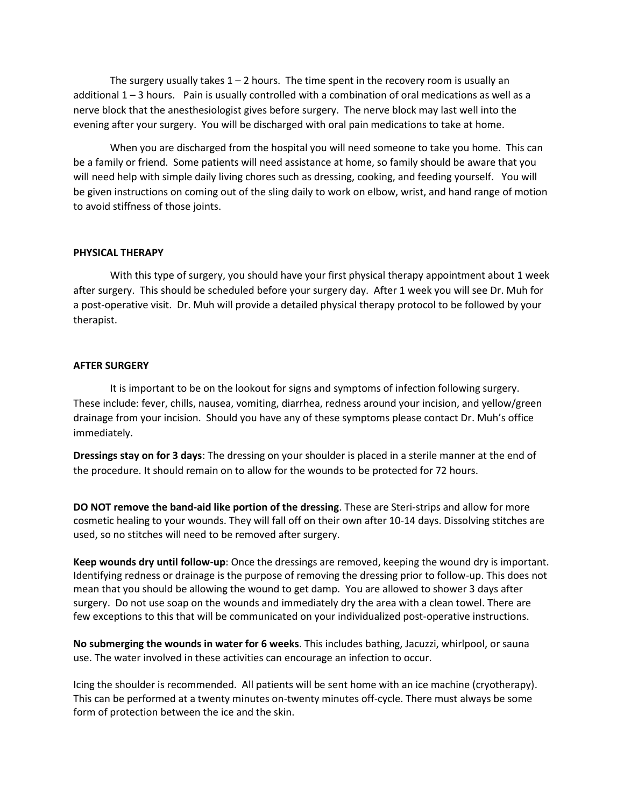The surgery usually takes  $1 - 2$  hours. The time spent in the recovery room is usually an additional 1 – 3 hours. Pain is usually controlled with a combination of oral medications as well as a nerve block that the anesthesiologist gives before surgery. The nerve block may last well into the evening after your surgery. You will be discharged with oral pain medications to take at home.

 When you are discharged from the hospital you will need someone to take you home. This can be a family or friend. Some patients will need assistance at home, so family should be aware that you will need help with simple daily living chores such as dressing, cooking, and feeding yourself. You will be given instructions on coming out of the sling daily to work on elbow, wrist, and hand range of motion to avoid stiffness of those joints.

#### **PHYSICAL THERAPY**

 With this type of surgery, you should have your first physical therapy appointment about 1 week after surgery. This should be scheduled before your surgery day. After 1 week you will see Dr. Muh for a post-operative visit. Dr. Muh will provide a detailed physical therapy protocol to be followed by your therapist.

#### **AFTER SURGERY**

 It is important to be on the lookout for signs and symptoms of infection following surgery. These include: fever, chills, nausea, vomiting, diarrhea, redness around your incision, and yellow/green drainage from your incision. Should you have any of these symptoms please contact Dr. Muh's office immediately.

**Dressings stay on for 3 days**: The dressing on your shoulder is placed in a sterile manner at the end of the procedure. It should remain on to allow for the wounds to be protected for 72 hours.

**DO NOT remove the band-aid like portion of the dressing**. These are Steri-strips and allow for more cosmetic healing to your wounds. They will fall off on their own after 10-14 days. Dissolving stitches are used, so no stitches will need to be removed after surgery.

**Keep wounds dry until follow-up**: Once the dressings are removed, keeping the wound dry is important. Identifying redness or drainage is the purpose of removing the dressing prior to follow-up. This does not mean that you should be allowing the wound to get damp. You are allowed to shower 3 days after surgery. Do not use soap on the wounds and immediately dry the area with a clean towel. There are few exceptions to this that will be communicated on your individualized post-operative instructions.

**No submerging the wounds in water for 6 weeks**. This includes bathing, Jacuzzi, whirlpool, or sauna use. The water involved in these activities can encourage an infection to occur.

Icing the shoulder is recommended. All patients will be sent home with an ice machine (cryotherapy). This can be performed at a twenty minutes on-twenty minutes off-cycle. There must always be some form of protection between the ice and the skin.